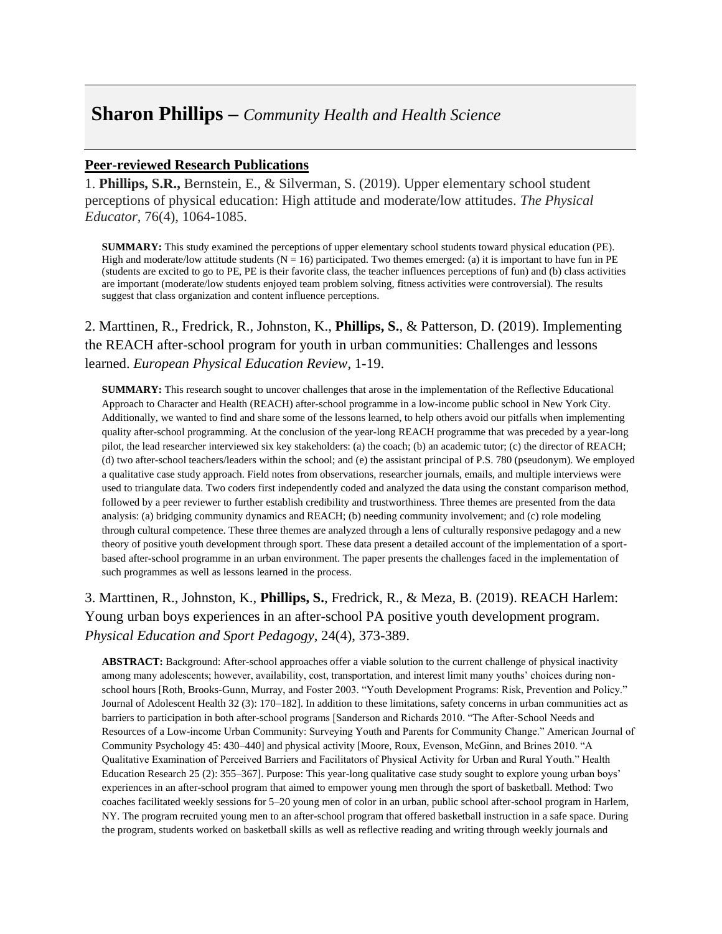# **Sharon Phillips –** *Community Health and Health Science*

# **Peer-reviewed Research Publications**

1. **Phillips, S.R.,** Bernstein, E., & Silverman, S. (2019). Upper elementary school student perceptions of physical education: High attitude and moderate/low attitudes. *The Physical Educator*, 76(4), 1064-1085.

**SUMMARY:** This study examined the perceptions of upper elementary school students toward physical education (PE). High and moderate/low attitude students  $(N = 16)$  participated. Two themes emerged: (a) it is important to have fun in PE (students are excited to go to PE, PE is their favorite class, the teacher influences perceptions of fun) and (b) class activities are important (moderate/low students enjoyed team problem solving, fitness activities were controversial). The results suggest that class organization and content influence perceptions.

2. Marttinen, R., Fredrick, R., Johnston, K., **Phillips, S.**, & Patterson, D. (2019). Implementing the REACH after-school program for youth in urban communities: Challenges and lessons learned. *European Physical Education Review*, 1-19.

**SUMMARY:** This research sought to uncover challenges that arose in the implementation of the Reflective Educational Approach to Character and Health (REACH) after-school programme in a low-income public school in New York City. Additionally, we wanted to find and share some of the lessons learned, to help others avoid our pitfalls when implementing quality after-school programming. At the conclusion of the year-long REACH programme that was preceded by a year-long pilot, the lead researcher interviewed six key stakeholders: (a) the coach; (b) an academic tutor; (c) the director of REACH; (d) two after-school teachers/leaders within the school; and (e) the assistant principal of P.S. 780 (pseudonym). We employed a qualitative case study approach. Field notes from observations, researcher journals, emails, and multiple interviews were used to triangulate data. Two coders first independently coded and analyzed the data using the constant comparison method, followed by a peer reviewer to further establish credibility and trustworthiness. Three themes are presented from the data analysis: (a) bridging community dynamics and REACH; (b) needing community involvement; and (c) role modeling through cultural competence. These three themes are analyzed through a lens of culturally responsive pedagogy and a new theory of positive youth development through sport. These data present a detailed account of the implementation of a sportbased after-school programme in an urban environment. The paper presents the challenges faced in the implementation of such programmes as well as lessons learned in the process.

3. Marttinen, R., Johnston, K., **Phillips, S.**, Fredrick, R., & Meza, B. (2019). REACH Harlem: Young urban boys experiences in an after-school PA positive youth development program. *Physical Education and Sport Pedagogy*, 24(4), 373-389.

**ABSTRACT:** Background: After-school approaches offer a viable solution to the current challenge of physical inactivity among many adolescents; however, availability, cost, transportation, and interest limit many youths' choices during nonschool hours [Roth, Brooks-Gunn, Murray, and Foster 2003. "Youth Development Programs: Risk, Prevention and Policy." Journal of Adolescent Health 32 (3): 170–182]. In addition to these limitations, safety concerns in urban communities act as barriers to participation in both after-school programs [Sanderson and Richards 2010. "The After-School Needs and Resources of a Low-income Urban Community: Surveying Youth and Parents for Community Change." American Journal of Community Psychology 45: 430–440] and physical activity [Moore, Roux, Evenson, McGinn, and Brines 2010. "A Qualitative Examination of Perceived Barriers and Facilitators of Physical Activity for Urban and Rural Youth." Health Education Research 25 (2): 355–367]. Purpose: This year-long qualitative case study sought to explore young urban boys' experiences in an after-school program that aimed to empower young men through the sport of basketball. Method: Two coaches facilitated weekly sessions for 5–20 young men of color in an urban, public school after-school program in Harlem, NY. The program recruited young men to an after-school program that offered basketball instruction in a safe space. During the program, students worked on basketball skills as well as reflective reading and writing through weekly journals and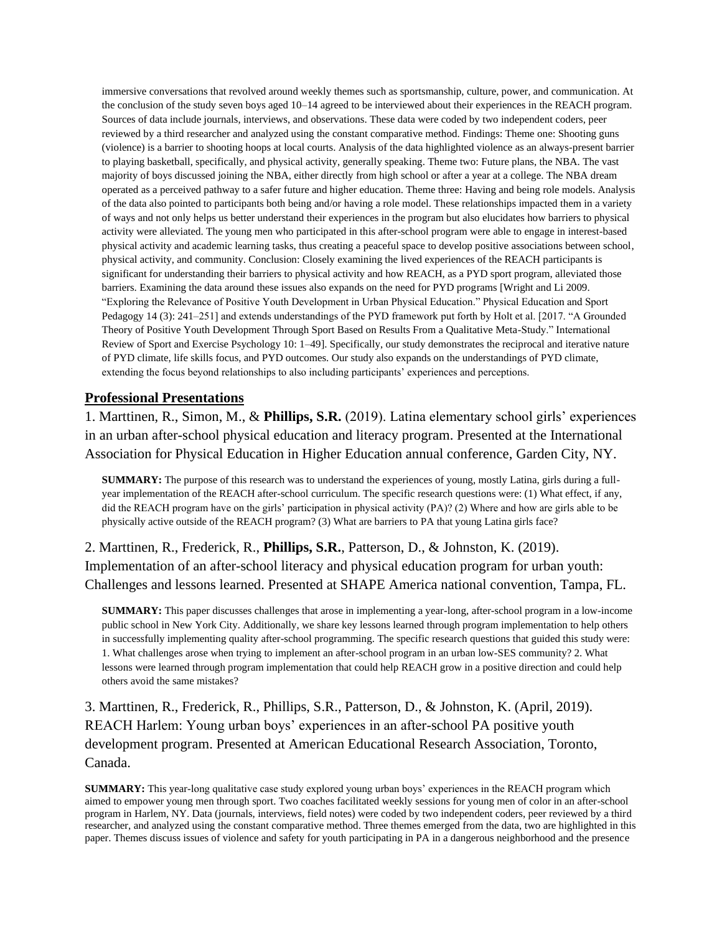immersive conversations that revolved around weekly themes such as sportsmanship, culture, power, and communication. At the conclusion of the study seven boys aged 10–14 agreed to be interviewed about their experiences in the REACH program. Sources of data include journals, interviews, and observations. These data were coded by two independent coders, peer reviewed by a third researcher and analyzed using the constant comparative method. Findings: Theme one: Shooting guns (violence) is a barrier to shooting hoops at local courts. Analysis of the data highlighted violence as an always-present barrier to playing basketball, specifically, and physical activity, generally speaking. Theme two: Future plans, the NBA. The vast majority of boys discussed joining the NBA, either directly from high school or after a year at a college. The NBA dream operated as a perceived pathway to a safer future and higher education. Theme three: Having and being role models. Analysis of the data also pointed to participants both being and/or having a role model. These relationships impacted them in a variety of ways and not only helps us better understand their experiences in the program but also elucidates how barriers to physical activity were alleviated. The young men who participated in this after-school program were able to engage in interest-based physical activity and academic learning tasks, thus creating a peaceful space to develop positive associations between school, physical activity, and community. Conclusion: Closely examining the lived experiences of the REACH participants is significant for understanding their barriers to physical activity and how REACH, as a PYD sport program, alleviated those barriers. Examining the data around these issues also expands on the need for PYD programs [Wright and Li 2009. "Exploring the Relevance of Positive Youth Development in Urban Physical Education." Physical Education and Sport Pedagogy 14 (3): 241–251] and extends understandings of the PYD framework put forth by Holt et al. [2017. "A Grounded Theory of Positive Youth Development Through Sport Based on Results From a Qualitative Meta-Study." International Review of Sport and Exercise Psychology 10: 1–49]. Specifically, our study demonstrates the reciprocal and iterative nature of PYD climate, life skills focus, and PYD outcomes. Our study also expands on the understandings of PYD climate, extending the focus beyond relationships to also including participants' experiences and perceptions.

# **Professional Presentations**

1. Marttinen, R., Simon, M., & **Phillips, S.R.** (2019). Latina elementary school girls' experiences in an urban after-school physical education and literacy program. Presented at the International Association for Physical Education in Higher Education annual conference, Garden City, NY.

**SUMMARY:** The purpose of this research was to understand the experiences of young, mostly Latina, girls during a fullyear implementation of the REACH after-school curriculum. The specific research questions were: (1) What effect, if any, did the REACH program have on the girls' participation in physical activity (PA)? (2) Where and how are girls able to be physically active outside of the REACH program? (3) What are barriers to PA that young Latina girls face?

2. Marttinen, R., Frederick, R., **Phillips, S.R.**, Patterson, D., & Johnston, K. (2019).

Implementation of an after-school literacy and physical education program for urban youth: Challenges and lessons learned. Presented at SHAPE America national convention, Tampa, FL.

**SUMMARY:** This paper discusses challenges that arose in implementing a year-long, after-school program in a low-income public school in New York City. Additionally, we share key lessons learned through program implementation to help others in successfully implementing quality after-school programming. The specific research questions that guided this study were: 1. What challenges arose when trying to implement an after-school program in an urban low-SES community? 2. What lessons were learned through program implementation that could help REACH grow in a positive direction and could help others avoid the same mistakes?

3. Marttinen, R., Frederick, R., Phillips, S.R., Patterson, D., & Johnston, K. (April, 2019). REACH Harlem: Young urban boys' experiences in an after-school PA positive youth development program. Presented at American Educational Research Association, Toronto, Canada.

**SUMMARY:** This year-long qualitative case study explored young urban boys' experiences in the REACH program which aimed to empower young men through sport. Two coaches facilitated weekly sessions for young men of color in an after-school program in Harlem, NY. Data (journals, interviews, field notes) were coded by two independent coders, peer reviewed by a third researcher, and analyzed using the constant comparative method. Three themes emerged from the data, two are highlighted in this paper. Themes discuss issues of violence and safety for youth participating in PA in a dangerous neighborhood and the presence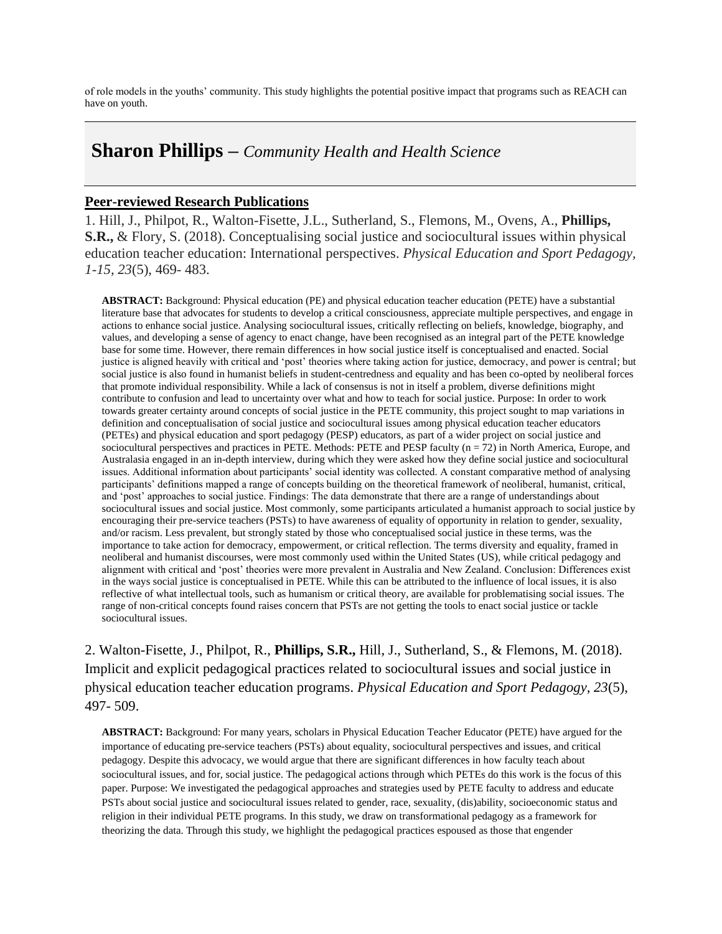of role models in the youths' community. This study highlights the potential positive impact that programs such as REACH can have on youth.

# **Sharon Phillips –** *Community Health and Health Science*

#### **Peer-reviewed Research Publications**

1. Hill, J., Philpot, R., Walton-Fisette, J.L., Sutherland, S., Flemons, M., Ovens, A., **Phillips, S.R.,** & Flory, S. (2018). Conceptualising social justice and sociocultural issues within physical education teacher education: International perspectives. *Physical Education and Sport Pedagogy, 1-15, 23*(5), 469- 483.

**ABSTRACT:** Background: Physical education (PE) and physical education teacher education (PETE) have a substantial literature base that advocates for students to develop a critical consciousness, appreciate multiple perspectives, and engage in actions to enhance social justice. Analysing sociocultural issues, critically reflecting on beliefs, knowledge, biography, and values, and developing a sense of agency to enact change, have been recognised as an integral part of the PETE knowledge base for some time. However, there remain differences in how social justice itself is conceptualised and enacted. Social justice is aligned heavily with critical and 'post' theories where taking action for justice, democracy, and power is central; but social justice is also found in humanist beliefs in student-centredness and equality and has been co-opted by neoliberal forces that promote individual responsibility. While a lack of consensus is not in itself a problem, diverse definitions might contribute to confusion and lead to uncertainty over what and how to teach for social justice. Purpose: In order to work towards greater certainty around concepts of social justice in the PETE community, this project sought to map variations in definition and conceptualisation of social justice and sociocultural issues among physical education teacher educators (PETEs) and physical education and sport pedagogy (PESP) educators, as part of a wider project on social justice and sociocultural perspectives and practices in PETE. Methods: PETE and PESP faculty (n = 72) in North America, Europe, and Australasia engaged in an in-depth interview, during which they were asked how they define social justice and sociocultural issues. Additional information about participants' social identity was collected. A constant comparative method of analysing participants' definitions mapped a range of concepts building on the theoretical framework of neoliberal, humanist, critical, and 'post' approaches to social justice. Findings: The data demonstrate that there are a range of understandings about sociocultural issues and social justice. Most commonly, some participants articulated a humanist approach to social justice by encouraging their pre-service teachers (PSTs) to have awareness of equality of opportunity in relation to gender, sexuality, and/or racism. Less prevalent, but strongly stated by those who conceptualised social justice in these terms, was the importance to take action for democracy, empowerment, or critical reflection. The terms diversity and equality, framed in neoliberal and humanist discourses, were most commonly used within the United States (US), while critical pedagogy and alignment with critical and 'post' theories were more prevalent in Australia and New Zealand. Conclusion: Differences exist in the ways social justice is conceptualised in PETE. While this can be attributed to the influence of local issues, it is also reflective of what intellectual tools, such as humanism or critical theory, are available for problematising social issues. The range of non-critical concepts found raises concern that PSTs are not getting the tools to enact social justice or tackle sociocultural issues.

2. Walton-Fisette, J., Philpot, R., **Phillips, S.R.,** Hill, J., Sutherland, S., & Flemons, M. (2018). Implicit and explicit pedagogical practices related to sociocultural issues and social justice in physical education teacher education programs. *Physical Education and Sport Pedagogy, 23*(5), 497- 509.

**ABSTRACT:** Background: For many years, scholars in Physical Education Teacher Educator (PETE) have argued for the importance of educating pre-service teachers (PSTs) about equality, sociocultural perspectives and issues, and critical pedagogy. Despite this advocacy, we would argue that there are significant differences in how faculty teach about sociocultural issues, and for, social justice. The pedagogical actions through which PETEs do this work is the focus of this paper. Purpose: We investigated the pedagogical approaches and strategies used by PETE faculty to address and educate PSTs about social justice and sociocultural issues related to gender, race, sexuality, (dis)ability, socioeconomic status and religion in their individual PETE programs. In this study, we draw on transformational pedagogy as a framework for theorizing the data. Through this study, we highlight the pedagogical practices espoused as those that engender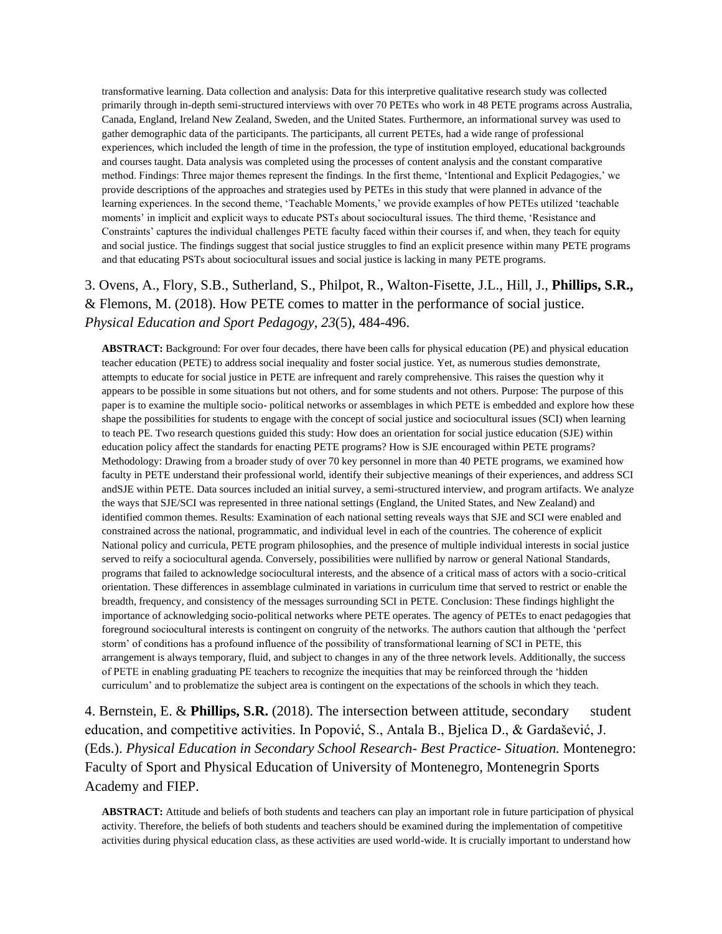transformative learning. Data collection and analysis: Data for this interpretive qualitative research study was collected primarily through in-depth semi-structured interviews with over 70 PETEs who work in 48 PETE programs across Australia, Canada, England, Ireland New Zealand, Sweden, and the United States. Furthermore, an informational survey was used to gather demographic data of the participants. The participants, all current PETEs, had a wide range of professional experiences, which included the length of time in the profession, the type of institution employed, educational backgrounds and courses taught. Data analysis was completed using the processes of content analysis and the constant comparative method. Findings: Three major themes represent the findings. In the first theme, 'Intentional and Explicit Pedagogies,' we provide descriptions of the approaches and strategies used by PETEs in this study that were planned in advance of the learning experiences. In the second theme, 'Teachable Moments,' we provide examples of how PETEs utilized 'teachable moments' in implicit and explicit ways to educate PSTs about sociocultural issues. The third theme, 'Resistance and Constraints' captures the individual challenges PETE faculty faced within their courses if, and when, they teach for equity and social justice. The findings suggest that social justice struggles to find an explicit presence within many PETE programs and that educating PSTs about sociocultural issues and social justice is lacking in many PETE programs.

# 3. Ovens, A., Flory, S.B., Sutherland, S., Philpot, R., Walton-Fisette, J.L., Hill, J., **Phillips, S.R.,** & Flemons, M. (2018). How PETE comes to matter in the performance of social justice. *Physical Education and Sport Pedagogy, 23*(5), 484-496.

**ABSTRACT:** Background: For over four decades, there have been calls for physical education (PE) and physical education teacher education (PETE) to address social inequality and foster social justice. Yet, as numerous studies demonstrate, attempts to educate for social justice in PETE are infrequent and rarely comprehensive. This raises the question why it appears to be possible in some situations but not others, and for some students and not others. Purpose: The purpose of this paper is to examine the multiple socio- political networks or assemblages in which PETE is embedded and explore how these shape the possibilities for students to engage with the concept of social justice and sociocultural issues (SCI) when learning to teach PE. Two research questions guided this study: How does an orientation for social justice education (SJE) within education policy affect the standards for enacting PETE programs? How is SJE encouraged within PETE programs? Methodology: Drawing from a broader study of over 70 key personnel in more than 40 PETE programs, we examined how faculty in PETE understand their professional world, identify their subjective meanings of their experiences, and address SCI andSJE within PETE. Data sources included an initial survey, a semi-structured interview, and program artifacts. We analyze the ways that SJE/SCI was represented in three national settings (England, the United States, and New Zealand) and identified common themes. Results: Examination of each national setting reveals ways that SJE and SCI were enabled and constrained across the national, programmatic, and individual level in each of the countries. The coherence of explicit National policy and curricula, PETE program philosophies, and the presence of multiple individual interests in social justice served to reify a sociocultural agenda. Conversely, possibilities were nullified by narrow or general National Standards, programs that failed to acknowledge sociocultural interests, and the absence of a critical mass of actors with a socio-critical orientation. These differences in assemblage culminated in variations in curriculum time that served to restrict or enable the breadth, frequency, and consistency of the messages surrounding SCI in PETE. Conclusion: These findings highlight the importance of acknowledging socio-political networks where PETE operates. The agency of PETEs to enact pedagogies that foreground sociocultural interests is contingent on congruity of the networks. The authors caution that although the 'perfect storm' of conditions has a profound influence of the possibility of transformational learning of SCI in PETE, this arrangement is always temporary, fluid, and subject to changes in any of the three network levels. Additionally, the success of PETE in enabling graduating PE teachers to recognize the inequities that may be reinforced through the 'hidden curriculum' and to problematize the subject area is contingent on the expectations of the schools in which they teach.

4. Bernstein, E. & **Phillips, S.R.** (2018). The intersection between attitude, secondary student education, and competitive activities. In Popović, S., Antala B., Bjelica D., & Gardašević, J. (Eds.). *Physical Education in Secondary School Research- Best Practice- Situation.* Montenegro: Faculty of Sport and Physical Education of University of Montenegro, Montenegrin Sports Academy and FIEP.

**ABSTRACT:** Attitude and beliefs of both students and teachers can play an important role in future participation of physical activity. Therefore, the beliefs of both students and teachers should be examined during the implementation of competitive activities during physical education class, as these activities are used world-wide. It is crucially important to understand how